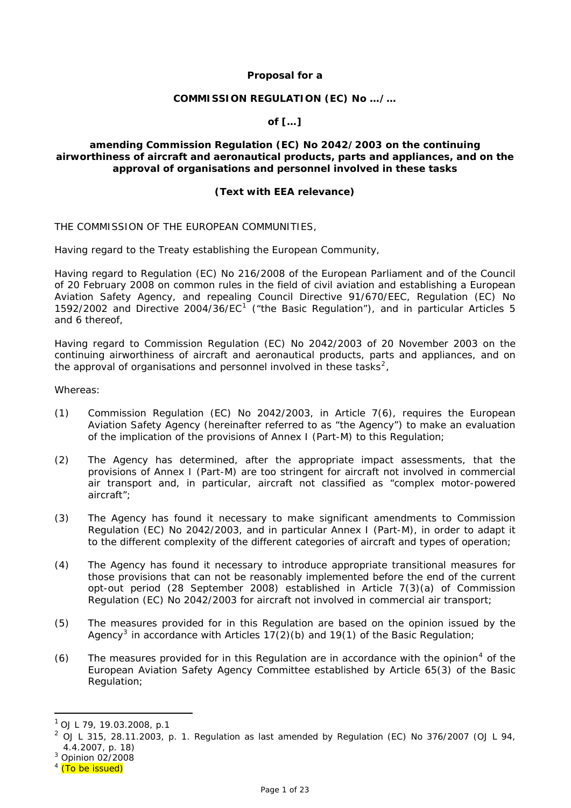## **Proposal for a**

#### **COMMISSION REGULATION (EC) No …/…**

## **of […]**

## **amending Commission Regulation (EC) No 2042/2003 on the continuing airworthiness of aircraft and aeronautical products, parts and appliances, and on the approval of organisations and personnel involved in these tasks**

#### **(Text with EEA relevance)**

THE COMMISSION OF THE EUROPEAN COMMUNITIES,

Having regard to the Treaty establishing the European Community,

Having regard to Regulation (EC) No 216/2008 of the European Parliament and of the Council of 20 February 2008 on common rules in the field of civil aviation and establishing a European Aviation Safety Agency, and repealing Council Directive 91/670/EEC, Regulation (EC) No [1](#page-0-0)592/2002 and Directive 2004/36/EC<sup>1</sup> ("the Basic Regulation"), and in particular Articles 5 and 6 thereof,

Having regard to Commission Regulation (EC) No 2042/2003 of 20 November 2003 on the continuing airworthiness of aircraft and aeronautical products, parts and appliances, and on the approval of organisations and personnel involved in these tasks<sup>[2](#page-0-1)</sup>,

Whereas:

- (1) Commission Regulation (EC) No 2042/2003, in Article 7(6), requires the European Aviation Safety Agency (hereinafter referred to as "the Agency") to make an evaluation of the implication of the provisions of Annex I (Part-M) to this Regulation;
- (2) The Agency has determined, after the appropriate impact assessments, that the provisions of Annex I (Part-M) are too stringent for aircraft not involved in commercial air transport and, in particular, aircraft not classified as "complex motor-powered aircraft";
- (3) The Agency has found it necessary to make significant amendments to Commission Regulation (EC) No 2042/2003, and in particular Annex I (Part-M), in order to adapt it to the different complexity of the different categories of aircraft and types of operation;
- (4) The Agency has found it necessary to introduce appropriate transitional measures for those provisions that can not be reasonably implemented before the end of the current opt-out period (28 September 2008) established in Article 7(3)(a) of Commission Regulation (EC) No 2042/2003 for aircraft not involved in commercial air transport;
- (5) The measures provided for in this Regulation are based on the opinion issued by the Agency<sup>[3](#page-0-2)</sup> in accordance with Articles 17(2)(b) and 19(1) of the Basic Regulation;
- $(6)$  The measures provided for in this Regulation are in accordance with the opinion<sup>[4](#page-0-3)</sup> of the European Aviation Safety Agency Committee established by Article 65(3) of the Basic Regulation;

 $\overline{a}$ 

<span id="page-0-0"></span> $1$  OJ L 79, 19.03.2008, p.1

<span id="page-0-1"></span> $^{2}$  OJ L 315, 28.11.2003, p. 1. Regulation as last amended by Regulation (EC) No 376/2007 (OJ L 94, 4.4.2007, p. 18)

<span id="page-0-2"></span><sup>3</sup> Opinion 02/2008

<span id="page-0-3"></span><sup>&</sup>lt;sup>4</sup> (To be issued)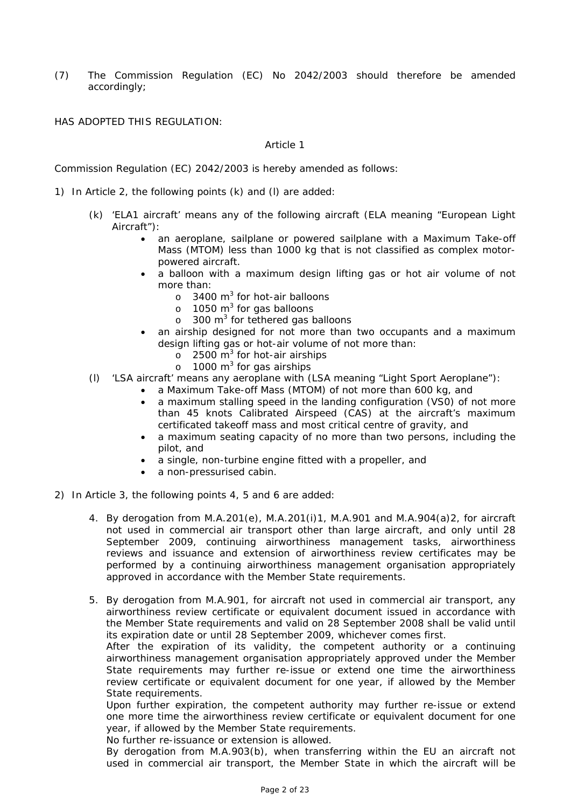(7) The Commission Regulation (EC) No 2042/2003 should therefore be amended accordingly;

HAS ADOPTED THIS REGULATION:

#### *Article 1*

Commission Regulation (EC) 2042/2003 is hereby amended as follows:

- 1) In Article 2, the following points (k) and (l) are added:
	- (k) 'ELA1 aircraft' means any of the following aircraft (ELA meaning "European Light Aircraft"):
		- an aeroplane, sailplane or powered sailplane with a Maximum Take-off Mass (MTOM) less than 1000 kg that is not classified as complex motorpowered aircraft.
		- a balloon with a maximum design lifting gas or hot air volume of not more than:
			- $\circ$  3400 m<sup>3</sup> for hot-air balloons
			- $\circ$  1050 m<sup>3</sup> for gas balloons
			- o 300 m<sup>3</sup> for tethered gas balloons
		- an airship designed for not more than two occupants and a maximum design lifting gas or hot-air volume of not more than:
			- $\sigma$  2500 m<sup>3</sup> for hot-air airships
			- $\circ$  1000 m<sup>3</sup> for gas airships
	- (l) 'LSA aircraft' means any aeroplane with (LSA meaning "Light Sport Aeroplane"):
		- a Maximum Take-off Mass (MTOM) of not more than 600 kg, and
			- a maximum stalling speed in the landing configuration (VS0) of not more than 45 knots Calibrated Airspeed (CAS) at the aircraft's maximum certificated takeoff mass and most critical centre of gravity, and
		- a maximum seating capacity of no more than two persons, including the pilot, and
		- a single, non-turbine engine fitted with a propeller, and
		- a non-pressurised cabin.
- 2) In Article 3, the following points 4, 5 and 6 are added:
	- 4. By derogation from M.A.201(e), M.A.201(i)1, M.A.901 and M.A.904(a)2, for aircraft not used in commercial air transport other than large aircraft, and only until 28 September 2009, continuing airworthiness management tasks, airworthiness reviews and issuance and extension of airworthiness review certificates may be performed by a continuing airworthiness management organisation appropriately approved in accordance with the Member State requirements.
	- 5. By derogation from M.A.901, for aircraft not used in commercial air transport, any airworthiness review certificate or equivalent document issued in accordance with the Member State requirements and valid on 28 September 2008 shall be valid until its expiration date or until 28 September 2009, whichever comes first.

After the expiration of its validity, the competent authority or a continuing airworthiness management organisation appropriately approved under the Member State requirements may further re-issue or extend one time the airworthiness review certificate or equivalent document for one year, if allowed by the Member State requirements.

Upon further expiration, the competent authority may further re-issue or extend one more time the airworthiness review certificate or equivalent document for one year, if allowed by the Member State requirements.

No further re-issuance or extension is allowed.

By derogation from M.A.903(b), when transferring within the EU an aircraft not used in commercial air transport, the Member State in which the aircraft will be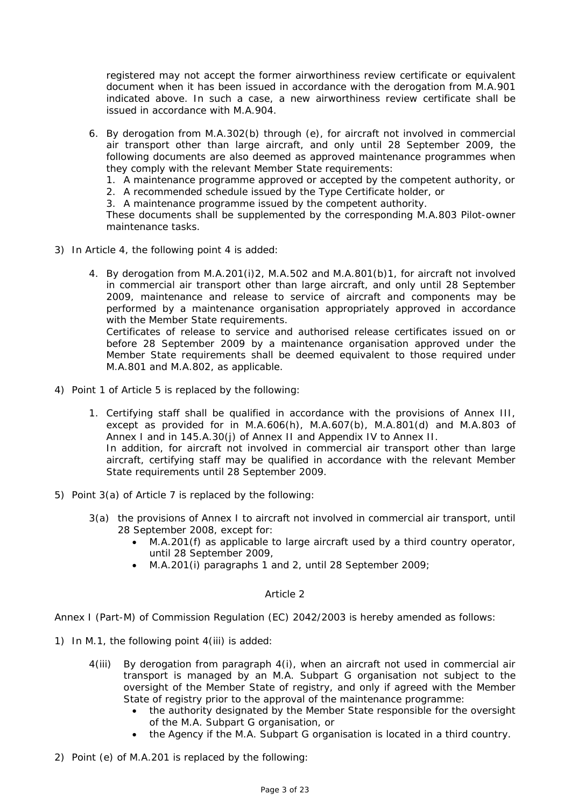registered may not accept the former airworthiness review certificate or equivalent document when it has been issued in accordance with the derogation from M.A.901 indicated above. In such a case, a new airworthiness review certificate shall be issued in accordance with M.A.904.

6. By derogation from M.A.302(b) through (e), for aircraft not involved in commercial air transport other than large aircraft, and only until 28 September 2009, the following documents are also deemed as approved maintenance programmes when they comply with the relevant Member State requirements:

1. A maintenance programme approved or accepted by the competent authority, or

2. A recommended schedule issued by the Type Certificate holder, or

3. A maintenance programme issued by the competent authority.

These documents shall be supplemented by the corresponding M.A.803 Pilot-owner maintenance tasks.

- 3) In Article 4, the following point 4 is added:
	- 4. By derogation from M.A.201(i)2, M.A.502 and M.A.801(b)1, for aircraft not involved in commercial air transport other than large aircraft, and only until 28 September 2009, maintenance and release to service of aircraft and components may be performed by a maintenance organisation appropriately approved in accordance with the Member State requirements. Certificates of release to service and authorised release certificates issued on or before 28 September 2009 by a maintenance organisation approved under the Member State requirements shall be deemed equivalent to those required under

M.A.801 and M.A.802, as applicable.

- 4) Point 1 of Article 5 is replaced by the following:
	- 1. Certifying staff shall be qualified in accordance with the provisions of Annex III, except as provided for in M.A.606(h), M.A.607(b), M.A.801(d) and M.A.803 of Annex I and in 145.A.30(j) of Annex II and Appendix IV to Annex II. In addition, for aircraft not involved in commercial air transport other than large aircraft, certifying staff may be qualified in accordance with the relevant Member State requirements until 28 September 2009.
- 5) Point 3(a) of Article 7 is replaced by the following:
	- 3(a) the provisions of Annex I to aircraft not involved in commercial air transport, until 28 September 2008, except for:
		- M.A.201(f) as applicable to large aircraft used by a third country operator, until 28 September 2009,
		- M.A.201(i) paragraphs 1 and 2, until 28 September 2009;

## *Article 2*

Annex I (Part-M) of Commission Regulation (EC) 2042/2003 is hereby amended as follows:

- 1) In M.1, the following point 4(iii) is added:
	- 4(iii) By derogation from paragraph 4(i), when an aircraft not used in commercial air transport is managed by an M.A. Subpart G organisation not subject to the oversight of the Member State of registry, and only if agreed with the Member State of registry prior to the approval of the maintenance programme:
		- the authority designated by the Member State responsible for the oversight of the M.A. Subpart G organisation, or
		- the Agency if the M.A. Subpart G organisation is located in a third country.
- 2) Point (e) of M.A.201 is replaced by the following: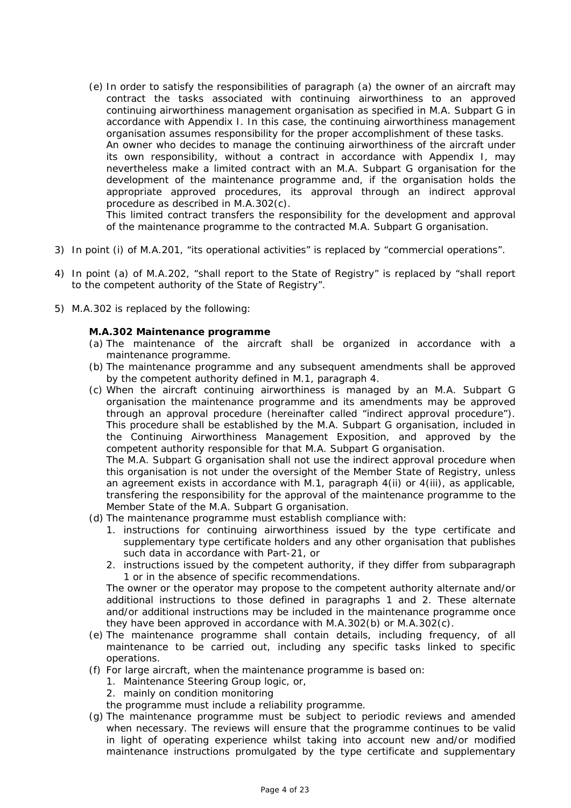(e) In order to satisfy the responsibilities of paragraph (a) the owner of an aircraft may contract the tasks associated with continuing airworthiness to an approved continuing airworthiness management organisation as specified in M.A. Subpart G in accordance with Appendix I. In this case, the continuing airworthiness management organisation assumes responsibility for the proper accomplishment of these tasks. An owner who decides to manage the continuing airworthiness of the aircraft under its own responsibility, without a contract in accordance with Appendix I, may nevertheless make a limited contract with an M.A. Subpart G organisation for the development of the maintenance programme and, if the organisation holds the appropriate approved procedures, its approval through an indirect approval procedure as described in M.A.302(c).

This limited contract transfers the responsibility for the development and approval of the maintenance programme to the contracted M.A. Subpart G organisation.

- 3) In point (i) of M.A.201, "its operational activities" is replaced by "commercial operations".
- 4) In point (a) of M.A.202, "shall report to the State of Registry" is replaced by "shall report to the competent authority of the State of Registry".
- 5) M.A.302 is replaced by the following:

## **M.A.302 Maintenance programme**

- (a) The maintenance of the aircraft shall be organized in accordance with a maintenance programme.
- (b) The maintenance programme and any subsequent amendments shall be approved by the competent authority defined in M.1, paragraph 4.
- (c) When the aircraft continuing airworthiness is managed by an M.A. Subpart G organisation the maintenance programme and its amendments may be approved through an approval procedure (hereinafter called "indirect approval procedure"). This procedure shall be established by the M.A. Subpart G organisation, included in the Continuing Airworthiness Management Exposition, and approved by the competent authority responsible for that M.A. Subpart G organisation.

The M.A. Subpart G organisation shall not use the indirect approval procedure when this organisation is not under the oversight of the Member State of Registry, unless an agreement exists in accordance with M.1, paragraph 4(ii) or 4(iii), as applicable, transfering the responsibility for the approval of the maintenance programme to the Member State of the M.A. Subpart G organisation.

- (d) The maintenance programme must establish compliance with:
	- 1. instructions for continuing airworthiness issued by the type certificate and supplementary type certificate holders and any other organisation that publishes such data in accordance with Part-21, or
	- 2. instructions issued by the competent authority, if they differ from subparagraph 1 or in the absence of specific recommendations.

The owner or the operator may propose to the competent authority alternate and/or additional instructions to those defined in paragraphs 1 and 2. These alternate and/or additional instructions may be included in the maintenance programme once they have been approved in accordance with  $M.A.302(b)$  or  $M.A.302(c)$ .

- (e) The maintenance programme shall contain details, including frequency, of all maintenance to be carried out, including any specific tasks linked to specific operations.
- (f) For large aircraft, when the maintenance programme is based on:
	- 1. Maintenance Steering Group logic, or,
	- 2. mainly on condition monitoring

the programme must include a reliability programme.

(g) The maintenance programme must be subject to periodic reviews and amended when necessary. The reviews will ensure that the programme continues to be valid in light of operating experience whilst taking into account new and/or modified maintenance instructions promulgated by the type certificate and supplementary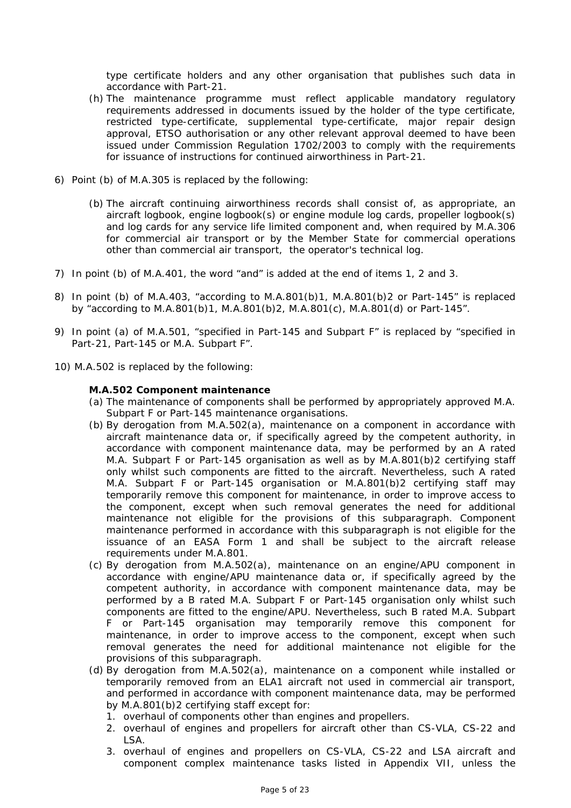type certificate holders and any other organisation that publishes such data in accordance with Part-21.

- (h) The maintenance programme must reflect applicable mandatory regulatory requirements addressed in documents issued by the holder of the type certificate, restricted type-certificate, supplemental type-certificate, major repair design approval, ETSO authorisation or any other relevant approval deemed to have been issued under Commission Regulation 1702/2003 to comply with the requirements for issuance of instructions for continued airworthiness in Part-21.
- 6) Point (b) of M.A.305 is replaced by the following:
	- (b) The aircraft continuing airworthiness records shall consist of, as appropriate, an aircraft logbook, engine logbook(s) or engine module log cards, propeller logbook(s) and log cards for any service life limited component and, when required by M.A.306 for commercial air transport or by the Member State for commercial operations other than commercial air transport, the operator's technical log.
- 7) In point (b) of M.A.401, the word "and" is added at the end of items 1, 2 and 3.
- 8) In point (b) of M.A.403, "according to M.A.801(b)1, M.A.801(b)2 or Part-145" is replaced by "according to M.A.801(b)1, M.A.801(b)2, M.A.801(c), M.A.801(d) or Part-145".
- 9) In point (a) of M.A.501, "specified in Part-145 and Subpart F" is replaced by "specified in Part-21, Part-145 or M.A. Subpart F".
- 10) M.A.502 is replaced by the following:

#### **M.A.502 Component maintenance**

- (a) The maintenance of components shall be performed by appropriately approved M.A. Subpart F or Part-145 maintenance organisations.
- (b) By derogation from M.A.502(a), maintenance on a component in accordance with aircraft maintenance data or, if specifically agreed by the competent authority, in accordance with component maintenance data, may be performed by an A rated M.A. Subpart F or Part-145 organisation as well as by M.A.801(b)2 certifying staff only whilst such components are fitted to the aircraft. Nevertheless, such A rated M.A. Subpart F or Part-145 organisation or M.A.801(b)2 certifying staff may temporarily remove this component for maintenance, in order to improve access to the component, except when such removal generates the need for additional maintenance not eligible for the provisions of this subparagraph. Component maintenance performed in accordance with this subparagraph is not eligible for the issuance of an EASA Form 1 and shall be subject to the aircraft release requirements under M.A.801.
- (c) By derogation from M.A.502(a), maintenance on an engine/APU component in accordance with engine/APU maintenance data or, if specifically agreed by the competent authority, in accordance with component maintenance data, may be performed by a B rated M.A. Subpart F or Part-145 organisation only whilst such components are fitted to the engine/APU. Nevertheless, such B rated M.A. Subpart F or Part-145 organisation may temporarily remove this component for maintenance, in order to improve access to the component, except when such removal generates the need for additional maintenance not eligible for the provisions of this subparagraph.
- (d) By derogation from M.A.502(a), maintenance on a component while installed or temporarily removed from an ELA1 aircraft not used in commercial air transport, and performed in accordance with component maintenance data, may be performed by M.A.801(b)2 certifying staff except for:
	- 1. overhaul of components other than engines and propellers.
	- 2. overhaul of engines and propellers for aircraft other than CS-VLA, CS-22 and LSA.
	- 3. overhaul of engines and propellers on CS-VLA, CS-22 and LSA aircraft and component complex maintenance tasks listed in Appendix VII, unless the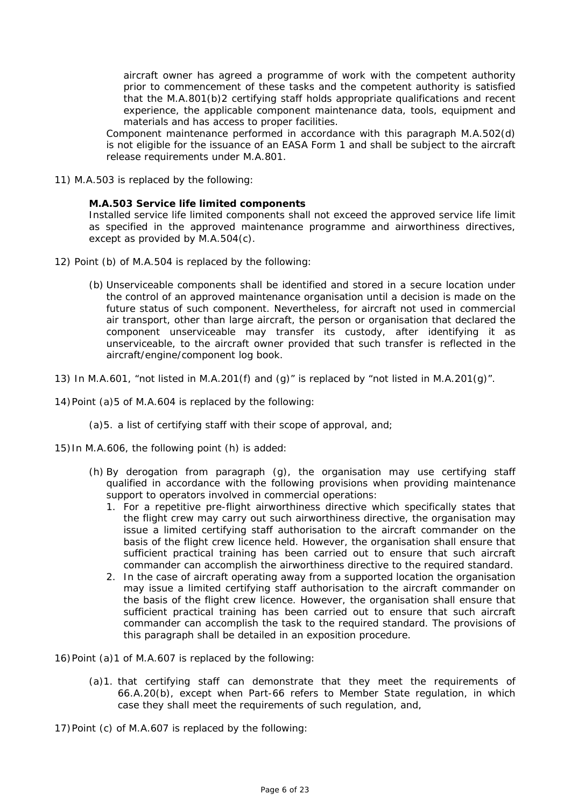aircraft owner has agreed a programme of work with the competent authority prior to commencement of these tasks and the competent authority is satisfied that the M.A.801(b)2 certifying staff holds appropriate qualifications and recent experience, the applicable component maintenance data, tools, equipment and materials and has access to proper facilities.

Component maintenance performed in accordance with this paragraph M.A.502(d) is not eligible for the issuance of an EASA Form 1 and shall be subject to the aircraft release requirements under M.A.801.

11) M.A.503 is replaced by the following:

#### **M.A.503 Service life limited components**

Installed service life limited components shall not exceed the approved service life limit as specified in the approved maintenance programme and airworthiness directives, except as provided by M.A.504(c).

- 12) Point (b) of M.A.504 is replaced by the following:
	- (b) Unserviceable components shall be identified and stored in a secure location under the control of an approved maintenance organisation until a decision is made on the future status of such component. Nevertheless, for aircraft not used in commercial air transport, other than large aircraft, the person or organisation that declared the component unserviceable may transfer its custody, after identifying it as unserviceable, to the aircraft owner provided that such transfer is reflected in the aircraft/engine/component log book.
- 13) In M.A.601, "not listed in M.A.201(f) and (g)" is replaced by "not listed in M.A.201(g)".
- 14) Point (a)5 of M.A.604 is replaced by the following:
	- (a)5. a list of certifying staff with their scope of approval, and;
- 15) In M.A.606, the following point (h) is added:
	- (h) By derogation from paragraph (g), the organisation may use certifying staff qualified in accordance with the following provisions when providing maintenance support to operators involved in commercial operations:
		- 1. For a repetitive pre-flight airworthiness directive which specifically states that the flight crew may carry out such airworthiness directive, the organisation may issue a limited certifying staff authorisation to the aircraft commander on the basis of the flight crew licence held. However, the organisation shall ensure that sufficient practical training has been carried out to ensure that such aircraft commander can accomplish the airworthiness directive to the required standard.
		- 2. In the case of aircraft operating away from a supported location the organisation may issue a limited certifying staff authorisation to the aircraft commander on the basis of the flight crew licence. However, the organisation shall ensure that sufficient practical training has been carried out to ensure that such aircraft commander can accomplish the task to the required standard. The provisions of this paragraph shall be detailed in an exposition procedure.
- 16) Point (a)1 of M.A.607 is replaced by the following:
	- (a)1. that certifying staff can demonstrate that they meet the requirements of 66.A.20(b), except when Part-66 refers to Member State regulation, in which case they shall meet the requirements of such regulation, and,
- 17) Point (c) of M.A.607 is replaced by the following: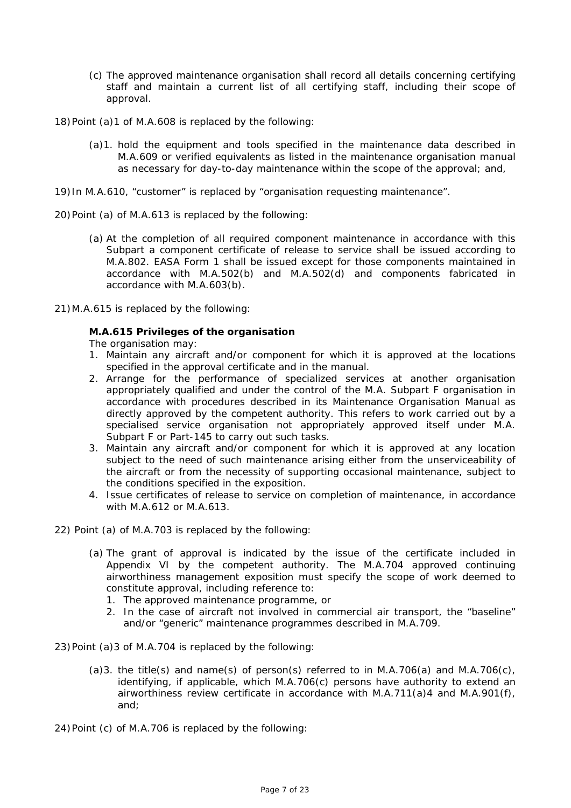- (c) The approved maintenance organisation shall record all details concerning certifying staff and maintain a current list of all certifying staff, including their scope of approval.
- 18) Point (a)1 of M.A.608 is replaced by the following:
	- (a)1. hold the equipment and tools specified in the maintenance data described in M.A.609 or verified equivalents as listed in the maintenance organisation manual as necessary for day-to-day maintenance within the scope of the approval; and,
- 19) In M.A.610, "customer" is replaced by "organisation requesting maintenance".
- 20) Point (a) of M.A.613 is replaced by the following:
	- (a) At the completion of all required component maintenance in accordance with this Subpart a component certificate of release to service shall be issued according to M.A.802. EASA Form 1 shall be issued except for those components maintained in accordance with M.A.502(b) and M.A.502(d) and components fabricated in accordance with M.A.603(b).
- 21) M.A.615 is replaced by the following:

## **M.A.615 Privileges of the organisation**

The organisation may:

- 1. Maintain any aircraft and/or component for which it is approved at the locations specified in the approval certificate and in the manual.
- 2. Arrange for the performance of specialized services at another organisation appropriately qualified and under the control of the M.A. Subpart F organisation in accordance with procedures described in its Maintenance Organisation Manual as directly approved by the competent authority. This refers to work carried out by a specialised service organisation not appropriately approved itself under M.A. Subpart F or Part-145 to carry out such tasks.
- 3. Maintain any aircraft and/or component for which it is approved at any location subject to the need of such maintenance arising either from the unserviceability of the aircraft or from the necessity of supporting occasional maintenance, subject to the conditions specified in the exposition.
- 4. Issue certificates of release to service on completion of maintenance, in accordance with M.A.612 or M.A.613.
- 22) Point (a) of M.A.703 is replaced by the following:
	- (a) The grant of approval is indicated by the issue of the certificate included in Appendix VI by the competent authority. The M.A.704 approved continuing airworthiness management exposition must specify the scope of work deemed to constitute approval, including reference to:
		- 1. The approved maintenance programme, or
		- 2. In the case of aircraft not involved in commercial air transport, the "baseline" and/or "generic" maintenance programmes described in M.A.709.
- 23) Point (a)3 of M.A.704 is replaced by the following:
	- (a)3. the title(s) and name(s) of person(s) referred to in M.A.706(a) and M.A.706(c), identifying, if applicable, which M.A.706(c) persons have authority to extend an airworthiness review certificate in accordance with M.A.711(a)4 and M.A.901(f), and;
- 24) Point (c) of M.A.706 is replaced by the following: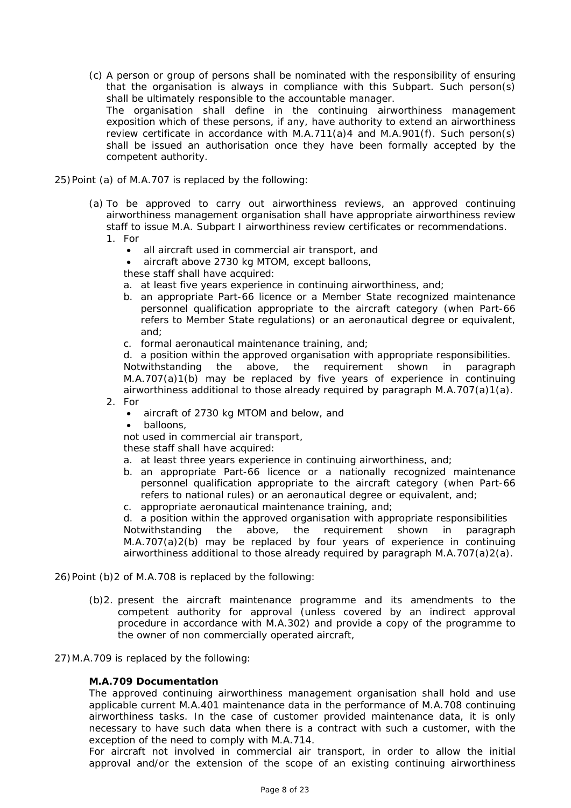- (c) A person or group of persons shall be nominated with the responsibility of ensuring that the organisation is always in compliance with this Subpart. Such person(s) shall be ultimately responsible to the accountable manager. The organisation shall define in the continuing airworthiness management exposition which of these persons, if any, have authority to extend an airworthiness review certificate in accordance with M.A.711(a)4 and M.A.901(f). Such person(s) shall be issued an authorisation once they have been formally accepted by the competent authority.
- 25) Point (a) of M.A.707 is replaced by the following:
	- (a) To be approved to carry out airworthiness reviews, an approved continuing airworthiness management organisation shall have appropriate airworthiness review staff to issue M.A. Subpart I airworthiness review certificates or recommendations. 1. For
		- all aircraft used in commercial air transport, and
		- aircraft above 2730 kg MTOM, except balloons,
		- these staff shall have acquired:
		- a. at least five years experience in continuing airworthiness, and;
		- b. an appropriate Part-66 licence or a Member State recognized maintenance personnel qualification appropriate to the aircraft category (when Part-66 refers to Member State regulations) or an aeronautical degree or equivalent, and;
		- c. formal aeronautical maintenance training, and;

d. a position within the approved organisation with appropriate responsibilities. Notwithstanding the above, the requirement shown in paragraph M.A.707(a)1(b) may be replaced by five years of experience in continuing airworthiness additional to those already required by paragraph  $M.A.707(a)1(a)$ .

- 2. For
	- aircraft of 2730 kg MTOM and below, and
	- balloons,

not used in commercial air transport,

these staff shall have acquired:

- a. at least three years experience in continuing airworthiness, and;
- b. an appropriate Part-66 licence or a nationally recognized maintenance personnel qualification appropriate to the aircraft category (when Part-66 refers to national rules) or an aeronautical degree or equivalent, and;
- c. appropriate aeronautical maintenance training, and;

d. a position within the approved organisation with appropriate responsibilities Notwithstanding the above, the requirement shown in paragraph M.A.707(a)2(b) may be replaced by four years of experience in continuing airworthiness additional to those already required by paragraph M.A.707(a)2(a).

- 26) Point (b)2 of M.A.708 is replaced by the following:
	- (b)2. present the aircraft maintenance programme and its amendments to the competent authority for approval (unless covered by an indirect approval procedure in accordance with M.A.302) and provide a copy of the programme to the owner of non commercially operated aircraft,
- 27) M.A.709 is replaced by the following:

#### **M.A.709 Documentation**

The approved continuing airworthiness management organisation shall hold and use applicable current M.A.401 maintenance data in the performance of M.A.708 continuing airworthiness tasks. In the case of customer provided maintenance data, it is only necessary to have such data when there is a contract with such a customer, with the exception of the need to comply with M.A.714.

For aircraft not involved in commercial air transport, in order to allow the initial approval and/or the extension of the scope of an existing continuing airworthiness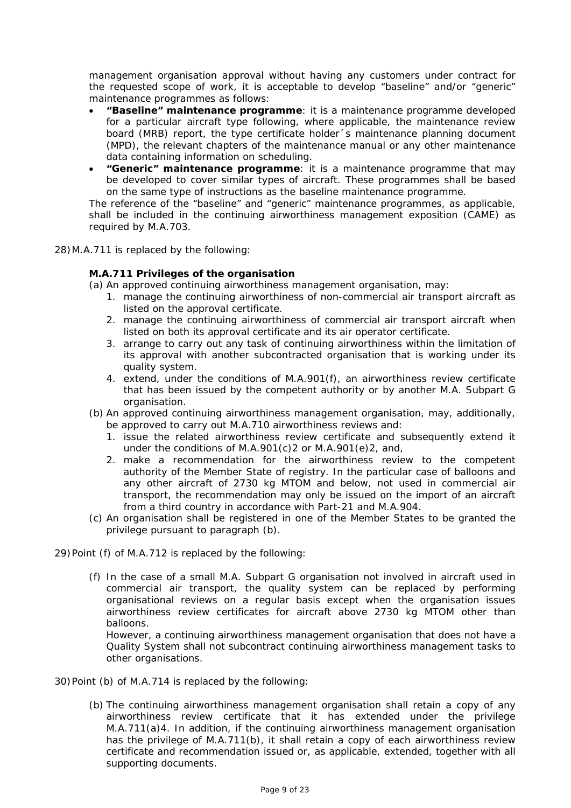management organisation approval without having any customers under contract for the requested scope of work, it is acceptable to develop "baseline" and/or "generic" maintenance programmes as follows:

- **"Baseline" maintenance programme**: it is a maintenance programme developed for a particular aircraft type following, where applicable, the maintenance review board (MRB) report, the type certificate holder´s maintenance planning document (MPD), the relevant chapters of the maintenance manual or any other maintenance data containing information on scheduling.
- **"Generic" maintenance programme**: it is a maintenance programme that may be developed to cover similar types of aircraft. These programmes shall be based on the same type of instructions as the baseline maintenance programme.

The reference of the "baseline" and "generic" maintenance programmes, as applicable, shall be included in the continuing airworthiness management exposition (CAME) as required by M.A.703.

28) M.A.711 is replaced by the following:

## **M.A.711 Privileges of the organisation**

(a) An approved continuing airworthiness management organisation, may:

- 1. manage the continuing airworthiness of non-commercial air transport aircraft as listed on the approval certificate.
- 2. manage the continuing airworthiness of commercial air transport aircraft when listed on both its approval certificate and its air operator certificate.
- 3. arrange to carry out any task of continuing airworthiness within the limitation of its approval with another subcontracted organisation that is working under its quality system.
- 4. extend, under the conditions of M.A.901(f), an airworthiness review certificate that has been issued by the competent authority or by another M.A. Subpart G organisation.
- (b) An approved continuing airworthiness management organisation $<sub>\tau</sub>$  may, additionally,</sub> be approved to carry out M.A.710 airworthiness reviews and:
	- 1. issue the related airworthiness review certificate and subsequently extend it under the conditions of M.A.901(c)2 or M.A.901(e)2, and,
	- 2. make a recommendation for the airworthiness review to the competent authority of the Member State of registry. In the particular case of balloons and any other aircraft of 2730 kg MTOM and below, not used in commercial air transport, the recommendation may only be issued on the import of an aircraft from a third country in accordance with Part-21 and M.A.904.
- (c) An organisation shall be registered in one of the Member States to be granted the privilege pursuant to paragraph (b).
- 29) Point (f) of M.A.712 is replaced by the following:
	- (f) In the case of a small M.A. Subpart G organisation not involved in aircraft used in commercial air transport, the quality system can be replaced by performing organisational reviews on a regular basis except when the organisation issues airworthiness review certificates for aircraft above 2730 kg MTOM other than balloons.

However, a continuing airworthiness management organisation that does not have a Quality System shall not subcontract continuing airworthiness management tasks to other organisations.

- 30) Point (b) of M.A.714 is replaced by the following:
	- (b) The continuing airworthiness management organisation shall retain a copy of any airworthiness review certificate that it has extended under the privilege M.A.711(a)4. In addition, if the continuing airworthiness management organisation has the privilege of M.A.711(b), it shall retain a copy of each airworthiness review certificate and recommendation issued or, as applicable, extended, together with all supporting documents.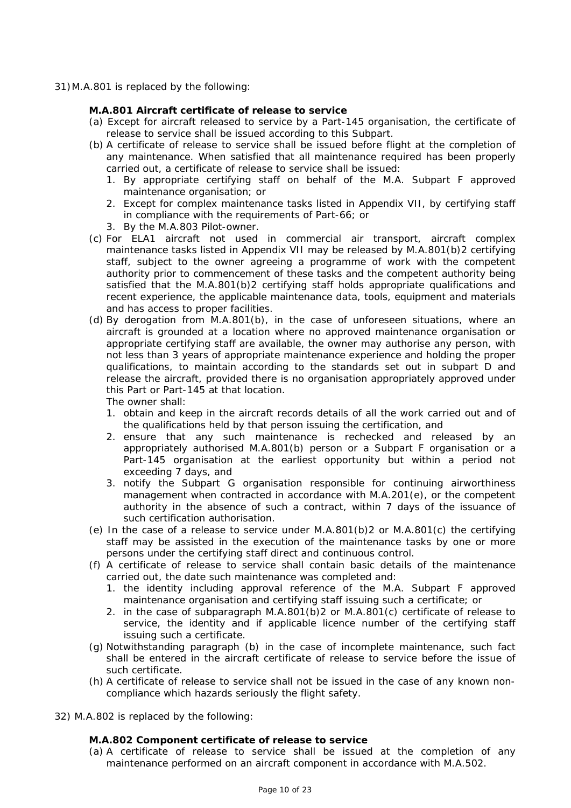31) M.A.801 is replaced by the following:

#### **M.A.801 Aircraft certificate of release to service**

- (a) Except for aircraft released to service by a Part-145 organisation, the certificate of release to service shall be issued according to this Subpart.
- (b) A certificate of release to service shall be issued before flight at the completion of any maintenance. When satisfied that all maintenance required has been properly carried out, a certificate of release to service shall be issued:
	- 1. By appropriate certifying staff on behalf of the M.A. Subpart F approved maintenance organisation; or
	- 2. Except for complex maintenance tasks listed in Appendix VII, by certifying staff in compliance with the requirements of Part-66; or
	- 3. By the M.A.803 Pilot-owner.
- (c) For ELA1 aircraft not used in commercial air transport, aircraft complex maintenance tasks listed in Appendix VII may be released by M.A.801(b)2 certifying staff, subject to the owner agreeing a programme of work with the competent authority prior to commencement of these tasks and the competent authority being satisfied that the M.A.801(b)2 certifying staff holds appropriate qualifications and recent experience, the applicable maintenance data, tools, equipment and materials and has access to proper facilities.
- (d) By derogation from M.A.801(b), in the case of unforeseen situations, where an aircraft is grounded at a location where no approved maintenance organisation or appropriate certifying staff are available, the owner may authorise any person, with not less than 3 years of appropriate maintenance experience and holding the proper qualifications, to maintain according to the standards set out in subpart D and release the aircraft, provided there is no organisation appropriately approved under this Part or Part-145 at that location.

The owner shall:

- 1. obtain and keep in the aircraft records details of all the work carried out and of the qualifications held by that person issuing the certification, and
- 2. ensure that any such maintenance is rechecked and released by an appropriately authorised M.A.801(b) person or a Subpart F organisation or a Part-145 organisation at the earliest opportunity but within a period not exceeding 7 days, and
- 3. notify the Subpart G organisation responsible for continuing airworthiness management when contracted in accordance with M.A.201(e), or the competent authority in the absence of such a contract, within 7 days of the issuance of such certification authorisation.
- (e) In the case of a release to service under M.A.801(b)2 or M.A.801(c) the certifying staff may be assisted in the execution of the maintenance tasks by one or more persons under the certifying staff direct and continuous control.
- (f) A certificate of release to service shall contain basic details of the maintenance carried out, the date such maintenance was completed and:
	- 1. the identity including approval reference of the M.A. Subpart F approved maintenance organisation and certifying staff issuing such a certificate; or
	- 2. in the case of subparagraph M.A.801(b)2 or M.A.801(c) certificate of release to service, the identity and if applicable licence number of the certifying staff issuing such a certificate.
- (g) Notwithstanding paragraph (b) in the case of incomplete maintenance, such fact shall be entered in the aircraft certificate of release to service before the issue of such certificate.
- (h) A certificate of release to service shall not be issued in the case of any known noncompliance which hazards seriously the flight safety.
- 32) M.A.802 is replaced by the following:

#### **M.A.802 Component certificate of release to service**

(a) A certificate of release to service shall be issued at the completion of any maintenance performed on an aircraft component in accordance with M.A.502.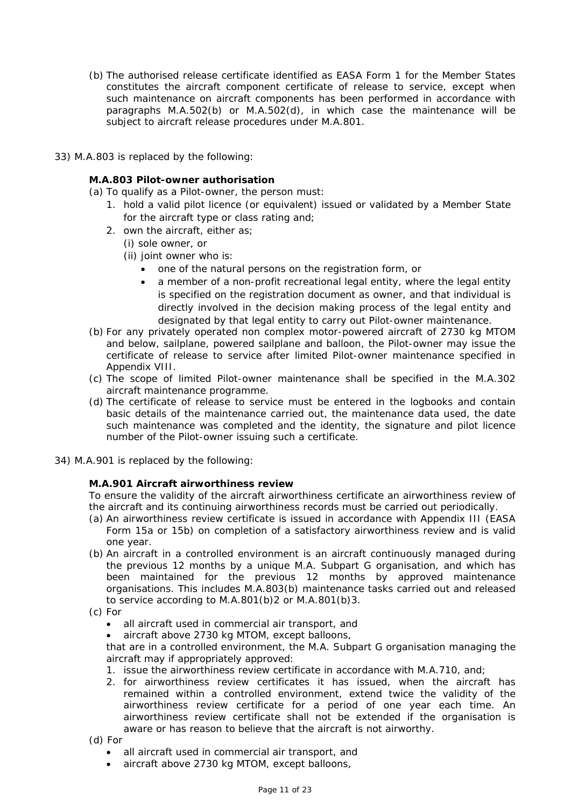- (b) The authorised release certificate identified as EASA Form 1 for the Member States constitutes the aircraft component certificate of release to service, except when such maintenance on aircraft components has been performed in accordance with paragraphs M.A.502(b) or M.A.502(d), in which case the maintenance will be subject to aircraft release procedures under M.A.801.
- 33) M.A.803 is replaced by the following:

## **M.A.803 Pilot-owner authorisation**

- (a) To qualify as a Pilot-owner, the person must:
	- 1. hold a valid pilot licence (or equivalent) issued or validated by a Member State for the aircraft type or class rating and;
	- 2. own the aircraft, either as;
		- (i) sole owner, or
		- (ii) joint owner who is:
			- one of the natural persons on the registration form, or
			- a member of a non-profit recreational legal entity, where the legal entity is specified on the registration document as owner, and that individual is directly involved in the decision making process of the legal entity and designated by that legal entity to carry out Pilot-owner maintenance.
- (b) For any privately operated non complex motor-powered aircraft of 2730 kg MTOM and below, sailplane, powered sailplane and balloon, the Pilot-owner may issue the certificate of release to service after limited Pilot-owner maintenance specified in Appendix VIII.
- (c) The scope of limited Pilot-owner maintenance shall be specified in the M.A.302 aircraft maintenance programme.
- (d) The certificate of release to service must be entered in the logbooks and contain basic details of the maintenance carried out, the maintenance data used, the date such maintenance was completed and the identity, the signature and pilot licence number of the Pilot-owner issuing such a certificate.
- 34) M.A.901 is replaced by the following:

## **M.A.901 Aircraft airworthiness review**

To ensure the validity of the aircraft airworthiness certificate an airworthiness review of the aircraft and its continuing airworthiness records must be carried out periodically.

- (a) An airworthiness review certificate is issued in accordance with Appendix III (EASA Form 15a or 15b) on completion of a satisfactory airworthiness review and is valid one year.
- (b) An aircraft in a controlled environment is an aircraft continuously managed during the previous 12 months by a unique M.A. Subpart G organisation, and which has been maintained for the previous 12 months by approved maintenance organisations. This includes M.A.803(b) maintenance tasks carried out and released to service according to M.A.801(b)2 or M.A.801(b)3.
- (c) For
	- all aircraft used in commercial air transport, and
	- aircraft above 2730 kg MTOM, except balloons,

that are in a controlled environment, the M.A. Subpart G organisation managing the aircraft may if appropriately approved:

- 1. issue the airworthiness review certificate in accordance with M.A.710, and;
- 2. for airworthiness review certificates it has issued, when the aircraft has remained within a controlled environment, extend twice the validity of the airworthiness review certificate for a period of one year each time. An airworthiness review certificate shall not be extended if the organisation is aware or has reason to believe that the aircraft is not airworthy.
- (d) For
	- all aircraft used in commercial air transport, and
	- aircraft above 2730 kg MTOM, except balloons,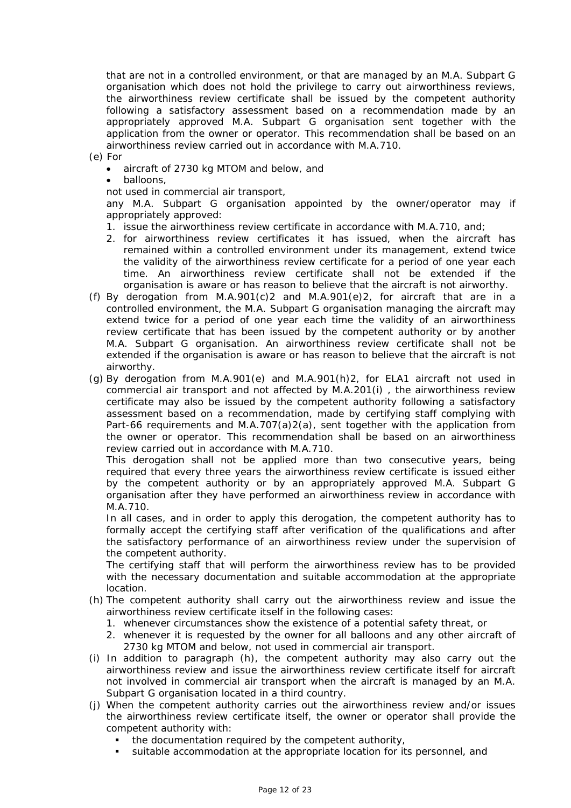that are not in a controlled environment, or that are managed by an M.A. Subpart G organisation which does not hold the privilege to carry out airworthiness reviews, the airworthiness review certificate shall be issued by the competent authority following a satisfactory assessment based on a recommendation made by an appropriately approved M.A. Subpart G organisation sent together with the application from the owner or operator. This recommendation shall be based on an airworthiness review carried out in accordance with M.A.710.

(e) For

- aircraft of 2730 kg MTOM and below, and
- balloons,

not used in commercial air transport,

any M.A. Subpart G organisation appointed by the owner/operator may if appropriately approved:

- 1. issue the airworthiness review certificate in accordance with M.A.710, and;
- 2. for airworthiness review certificates it has issued, when the aircraft has remained within a controlled environment under its management, extend twice the validity of the airworthiness review certificate for a period of one year each time. An airworthiness review certificate shall not be extended if the organisation is aware or has reason to believe that the aircraft is not airworthy.
- (f) By derogation from M.A.901(c)2 and M.A.901(e)2, for aircraft that are in a controlled environment, the M.A. Subpart G organisation managing the aircraft may extend twice for a period of one year each time the validity of an airworthiness review certificate that has been issued by the competent authority or by another M.A. Subpart G organisation. An airworthiness review certificate shall not be extended if the organisation is aware or has reason to believe that the aircraft is not airworthy.
- (g) By derogation from M.A.901(e) and M.A.901(h)2, for ELA1 aircraft not used in commercial air transport and not affected by M.A.201(i) , the airworthiness review certificate may also be issued by the competent authority following a satisfactory assessment based on a recommendation, made by certifying staff complying with Part-66 requirements and M.A.707(a)2(a), sent together with the application from the owner or operator. This recommendation shall be based on an airworthiness review carried out in accordance with M.A.710.

This derogation shall not be applied more than two consecutive years, being required that every three years the airworthiness review certificate is issued either by the competent authority or by an appropriately approved M.A. Subpart G organisation after they have performed an airworthiness review in accordance with M.A.710.

In all cases, and in order to apply this derogation, the competent authority has to formally accept the certifying staff after verification of the qualifications and after the satisfactory performance of an airworthiness review under the supervision of the competent authority.

The certifying staff that will perform the airworthiness review has to be provided with the necessary documentation and suitable accommodation at the appropriate location.

- (h) The competent authority shall carry out the airworthiness review and issue the airworthiness review certificate itself in the following cases:
	- 1. whenever circumstances show the existence of a potential safety threat, or
	- 2. whenever it is requested by the owner for all balloons and any other aircraft of 2730 kg MTOM and below, not used in commercial air transport.
- (i) In addition to paragraph (h), the competent authority may also carry out the airworthiness review and issue the airworthiness review certificate itself for aircraft not involved in commercial air transport when the aircraft is managed by an M.A. Subpart G organisation located in a third country.
- (j) When the competent authority carries out the airworthiness review and/or issues the airworthiness review certificate itself, the owner or operator shall provide the competent authority with:
	- the documentation required by the competent authority,
	- suitable accommodation at the appropriate location for its personnel, and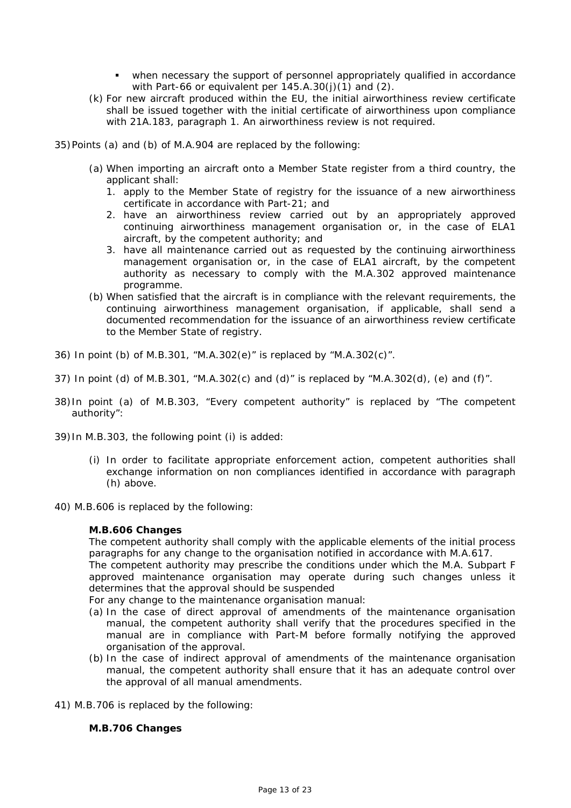- when necessary the support of personnel appropriately qualified in accordance with Part-66 or equivalent per 145.A.30(j)(1) and (2).
- (k) For new aircraft produced within the EU, the initial airworthiness review certificate shall be issued together with the initial certificate of airworthiness upon compliance with 21A.183, paragraph 1. An airworthiness review is not required.
- 35) Points (a) and (b) of M.A.904 are replaced by the following:
	- (a) When importing an aircraft onto a Member State register from a third country, the applicant shall:
		- 1. apply to the Member State of registry for the issuance of a new airworthiness certificate in accordance with Part-21; and
		- 2. have an airworthiness review carried out by an appropriately approved continuing airworthiness management organisation or, in the case of ELA1 aircraft, by the competent authority; and
		- 3. have all maintenance carried out as requested by the continuing airworthiness management organisation or, in the case of ELA1 aircraft, by the competent authority as necessary to comply with the M.A.302 approved maintenance programme.
	- (b) When satisfied that the aircraft is in compliance with the relevant requirements, the continuing airworthiness management organisation, if applicable, shall send a documented recommendation for the issuance of an airworthiness review certificate to the Member State of registry.
- 36) In point (b) of M.B.301, "M.A.302(e)" is replaced by "M.A.302(c)".
- 37) In point (d) of M.B.301, "M.A.302(c) and (d)" is replaced by "M.A.302(d), (e) and (f)".
- 38) In point (a) of M.B.303, "Every competent authority" is replaced by "The competent authority":
- 39) In M.B.303, the following point (i) is added:
	- (i) In order to facilitate appropriate enforcement action, competent authorities shall exchange information on non compliances identified in accordance with paragraph (h) above.
- 40) M.B.606 is replaced by the following:

#### **M.B.606 Changes**

The competent authority shall comply with the applicable elements of the initial process paragraphs for any change to the organisation notified in accordance with M.A.617.

The competent authority may prescribe the conditions under which the M.A. Subpart F approved maintenance organisation may operate during such changes unless it determines that the approval should be suspended

For any change to the maintenance organisation manual:

- (a) In the case of direct approval of amendments of the maintenance organisation manual, the competent authority shall verify that the procedures specified in the manual are in compliance with Part-M before formally notifying the approved organisation of the approval.
- (b) In the case of indirect approval of amendments of the maintenance organisation manual, the competent authority shall ensure that it has an adequate control over the approval of all manual amendments.
- 41) M.B.706 is replaced by the following:

## **M.B.706 Changes**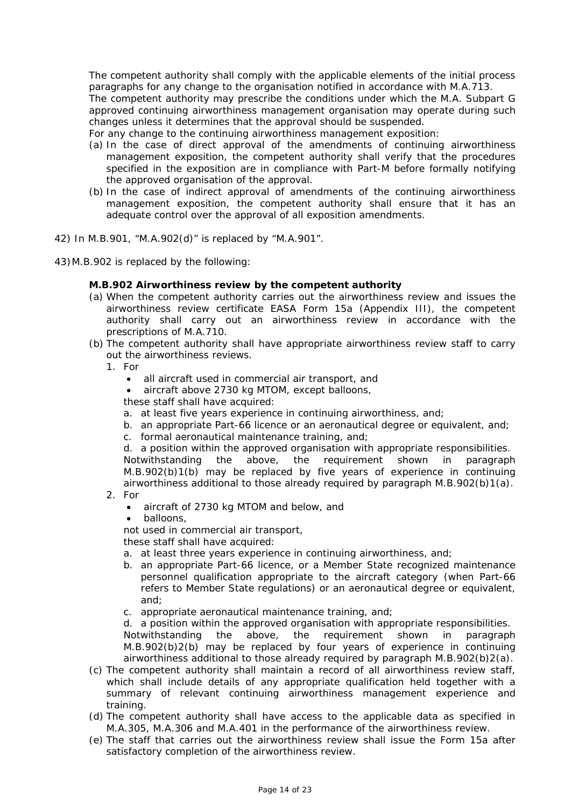The competent authority shall comply with the applicable elements of the initial process paragraphs for any change to the organisation notified in accordance with M.A.713.

The competent authority may prescribe the conditions under which the M.A. Subpart G approved continuing airworthiness management organisation may operate during such changes unless it determines that the approval should be suspended.

- For any change to the continuing airworthiness management exposition:
- (a) In the case of direct approval of the amendments of continuing airworthiness management exposition, the competent authority shall verify that the procedures specified in the exposition are in compliance with Part-M before formally notifying the approved organisation of the approval.
- (b) In the case of indirect approval of amendments of the continuing airworthiness management exposition, the competent authority shall ensure that it has an adequate control over the approval of all exposition amendments.
- 42) In M.B.901, "M.A.902(d)" is replaced by "M.A.901".
- 43) M.B.902 is replaced by the following:

#### **M.B.902 Airworthiness review by the competent authority**

- (a) When the competent authority carries out the airworthiness review and issues the airworthiness review certificate EASA Form 15a (Appendix III), the competent authority shall carry out an airworthiness review in accordance with the prescriptions of M.A.710.
- (b) The competent authority shall have appropriate airworthiness review staff to carry out the airworthiness reviews.
	- 1. For
		- all aircraft used in commercial air transport, and
		- aircraft above 2730 kg MTOM, except balloons,
		- these staff shall have acquired:
		- a. at least five years experience in continuing airworthiness, and;
		- b. an appropriate Part-66 licence or an aeronautical degree or equivalent, and;
		- c. formal aeronautical maintenance training, and;

d. a position within the approved organisation with appropriate responsibilities. Notwithstanding the above, the requirement shown in paragraph M.B.902(b)1(b) may be replaced by five years of experience in continuing airworthiness additional to those already required by paragraph M.B.902(b)1(a).

- 2. For
	- aircraft of 2730 kg MTOM and below, and
	- balloons,

not used in commercial air transport,

these staff shall have acquired:

- a. at least three years experience in continuing airworthiness, and;
- b. an appropriate Part-66 licence, or a Member State recognized maintenance personnel qualification appropriate to the aircraft category (when Part-66 refers to Member State regulations) or an aeronautical degree or equivalent, and;
- c. appropriate aeronautical maintenance training, and;

d. a position within the approved organisation with appropriate responsibilities. Notwithstanding the above, the requirement shown in paragraph M.B.902(b)2(b) may be replaced by four years of experience in continuing airworthiness additional to those already required by paragraph M.B.902(b)2(a).

- (c) The competent authority shall maintain a record of all airworthiness review staff, which shall include details of any appropriate qualification held together with a summary of relevant continuing airworthiness management experience and training.
- (d) The competent authority shall have access to the applicable data as specified in M.A.305, M.A.306 and M.A.401 in the performance of the airworthiness review.
- (e) The staff that carries out the airworthiness review shall issue the Form 15a after satisfactory completion of the airworthiness review.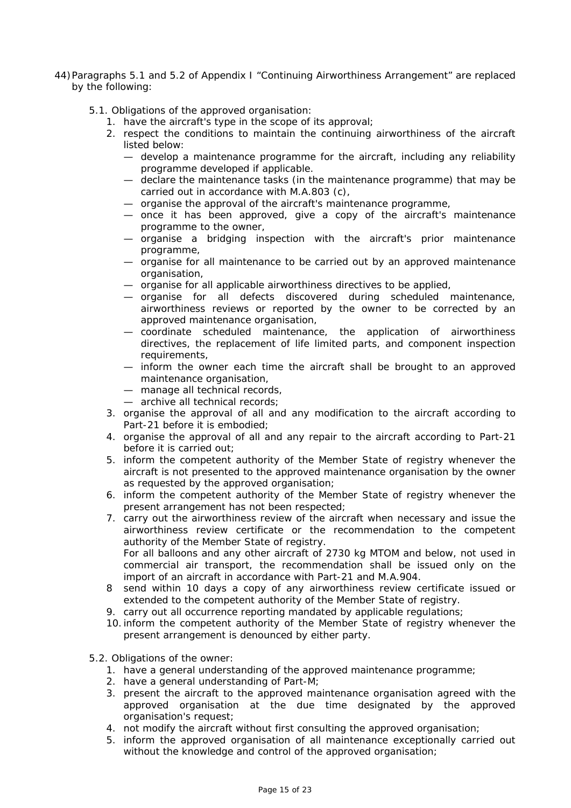- 44) Paragraphs 5.1 and 5.2 of Appendix I "Continuing Airworthiness Arrangement" are replaced by the following:
	- 5.1. Obligations of the approved organisation:
		- 1. have the aircraft's type in the scope of its approval;
		- 2. respect the conditions to maintain the continuing airworthiness of the aircraft listed below:
			- develop a maintenance programme for the aircraft, including any reliability programme developed if applicable.
			- declare the maintenance tasks (in the maintenance programme) that may be carried out in accordance with M.A.803 (c),
			- organise the approval of the aircraft's maintenance programme,
			- once it has been approved, give a copy of the aircraft's maintenance programme to the owner,
			- organise a bridging inspection with the aircraft's prior maintenance programme,
			- organise for all maintenance to be carried out by an approved maintenance organisation,
			- organise for all applicable airworthiness directives to be applied,
			- organise for all defects discovered during scheduled maintenance, airworthiness reviews or reported by the owner to be corrected by an approved maintenance organisation,
			- coordinate scheduled maintenance, the application of airworthiness directives, the replacement of life limited parts, and component inspection requirements,
			- inform the owner each time the aircraft shall be brought to an approved maintenance organisation,
			- manage all technical records,
			- archive all technical records;
		- 3. organise the approval of all and any modification to the aircraft according to Part-21 before it is embodied;
		- 4. organise the approval of all and any repair to the aircraft according to Part-21 before it is carried out;
		- 5. inform the competent authority of the Member State of registry whenever the aircraft is not presented to the approved maintenance organisation by the owner as requested by the approved organisation;
		- 6. inform the competent authority of the Member State of registry whenever the present arrangement has not been respected;
		- 7. carry out the airworthiness review of the aircraft when necessary and issue the airworthiness review certificate or the recommendation to the competent authority of the Member State of registry. For all balloons and any other aircraft of 2730 kg MTOM and below, not used in commercial air transport, the recommendation shall be issued only on the import of an aircraft in accordance with Part-21 and M.A.904.
		- 8 send within 10 days a copy of any airworthiness review certificate issued or extended to the competent authority of the Member State of registry.
		- 9. carry out all occurrence reporting mandated by applicable regulations;
		- 10. inform the competent authority of the Member State of registry whenever the present arrangement is denounced by either party.
	- 5.2. Obligations of the owner:
		- 1. have a general understanding of the approved maintenance programme;
		- 2. have a general understanding of Part-M;
		- 3. present the aircraft to the approved maintenance organisation agreed with the approved organisation at the due time designated by the approved organisation's request;
		- 4. not modify the aircraft without first consulting the approved organisation;
		- 5. inform the approved organisation of all maintenance exceptionally carried out without the knowledge and control of the approved organisation;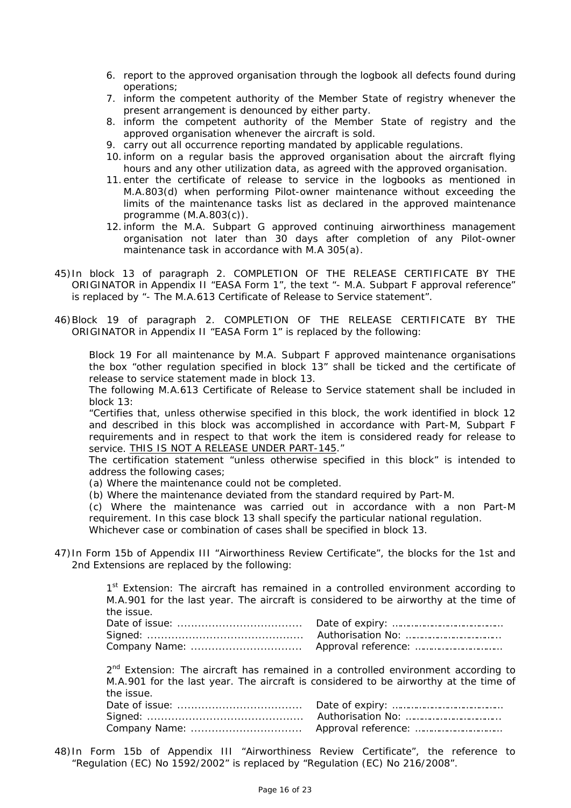- 6. report to the approved organisation through the logbook all defects found during operations;
- 7. inform the competent authority of the Member State of registry whenever the present arrangement is denounced by either party.
- 8. inform the competent authority of the Member State of registry and the approved organisation whenever the aircraft is sold.
- 9. carry out all occurrence reporting mandated by applicable regulations.
- 10. inform on a regular basis the approved organisation about the aircraft flying hours and any other utilization data, as agreed with the approved organisation.
- 11. enter the certificate of release to service in the logbooks as mentioned in M.A.803(d) when performing Pilot-owner maintenance without exceeding the limits of the maintenance tasks list as declared in the approved maintenance programme (M.A.803(c)).
- 12. inform the M.A. Subpart G approved continuing airworthiness management organisation not later than 30 days after completion of any Pilot-owner maintenance task in accordance with M.A 305(a).
- 45) In block 13 of paragraph 2. COMPLETION OF THE RELEASE CERTIFICATE BY THE ORIGINATOR in Appendix II "EASA Form 1", the text "- M.A. Subpart F approval reference" is replaced by "- The M.A.613 Certificate of Release to Service statement".
- 46) Block 19 of paragraph 2. COMPLETION OF THE RELEASE CERTIFICATE BY THE ORIGINATOR in Appendix II "EASA Form 1" is replaced by the following:

*Block 19* For all maintenance by M.A. Subpart F approved maintenance organisations the box "other regulation specified in block 13" shall be ticked and the certificate of release to service statement made in block 13.

The following M.A.613 Certificate of Release to Service statement shall be included in block 13:

"Certifies that, unless otherwise specified in this block, the work identified in block 12 and described in this block was accomplished in accordance with Part-M, Subpart F requirements and in respect to that work the item is considered ready for release to service. THIS IS NOT A RELEASE UNDER PART-145."

The certification statement "unless otherwise specified in this block" is intended to address the following cases;

(a) Where the maintenance could not be completed.

(b) Where the maintenance deviated from the standard required by Part-M.

(c) Where the maintenance was carried out in accordance with a non Part-M requirement. In this case block 13 shall specify the particular national regulation. Whichever case or combination of cases shall be specified in block 13.

47) In Form 15b of Appendix III "Airworthiness Review Certificate", the blocks for the 1st and 2nd Extensions are replaced by the following:

> 1st Extension: The aircraft has remained in a controlled environment according to M.A.901 for the last year. The aircraft is considered to be airworthy at the time of the issue.

 $2<sup>nd</sup>$  Extension: The aircraft has remained in a controlled environment according to M.A.901 for the last year. The aircraft is considered to be airworthy at the time of the issue.

48) In Form 15b of Appendix III "Airworthiness Review Certificate", the reference to "Regulation (EC) No 1592/2002" is replaced by "Regulation (EC) No 216/2008".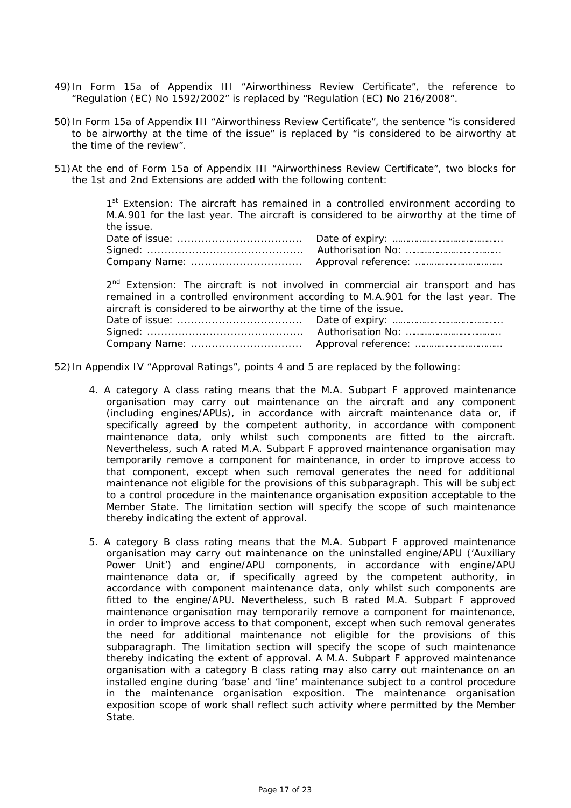- 49) In Form 15a of Appendix III "Airworthiness Review Certificate", the reference to "Regulation (EC) No 1592/2002" is replaced by "Regulation (EC) No 216/2008".
- 50) In Form 15a of Appendix III "Airworthiness Review Certificate", the sentence "is considered to be airworthy at the time of the issue" is replaced by "is considered to be airworthy at the time of the review".
- 51) At the end of Form 15a of Appendix III "Airworthiness Review Certificate", two blocks for the 1st and 2nd Extensions are added with the following content:

1<sup>st</sup> Extension: The aircraft has remained in a controlled environment according to M.A.901 for the last year. The aircraft is considered to be airworthy at the time of the issue.

 $2<sup>nd</sup>$  Extension: The aircraft is not involved in commercial air transport and has remained in a controlled environment according to M.A.901 for the last year. The aircraft is considered to be airworthy at the time of the issue. Date of issue: .................................... Date of expiry: …………………………………… Signed: ............................................. Authorisation No: ……………………………... Company Name: ................................ Approval reference: ……………………………

52) In Appendix IV "Approval Ratings", points 4 and 5 are replaced by the following:

- 4. A category A class rating means that the M.A. Subpart F approved maintenance organisation may carry out maintenance on the aircraft and any component (including engines/APUs), in accordance with aircraft maintenance data or, if specifically agreed by the competent authority, in accordance with component maintenance data, only whilst such components are fitted to the aircraft. Nevertheless, such A rated M.A. Subpart F approved maintenance organisation may temporarily remove a component for maintenance, in order to improve access to that component, except when such removal generates the need for additional maintenance not eligible for the provisions of this subparagraph. This will be subject to a control procedure in the maintenance organisation exposition acceptable to the Member State. The limitation section will specify the scope of such maintenance thereby indicating the extent of approval.
- 5. A category B class rating means that the M.A. Subpart F approved maintenance organisation may carry out maintenance on the uninstalled engine/APU ('Auxiliary Power Unit') and engine/APU components, in accordance with engine/APU maintenance data or, if specifically agreed by the competent authority, in accordance with component maintenance data, only whilst such components are fitted to the engine/APU. Nevertheless, such B rated M.A. Subpart F approved maintenance organisation may temporarily remove a component for maintenance, in order to improve access to that component, except when such removal generates the need for additional maintenance not eligible for the provisions of this subparagraph. The limitation section will specify the scope of such maintenance thereby indicating the extent of approval. A M.A. Subpart F approved maintenance organisation with a category B class rating may also carry out maintenance on an installed engine during 'base' and 'line' maintenance subject to a control procedure in the maintenance organisation exposition. The maintenance organisation exposition scope of work shall reflect such activity where permitted by the Member State.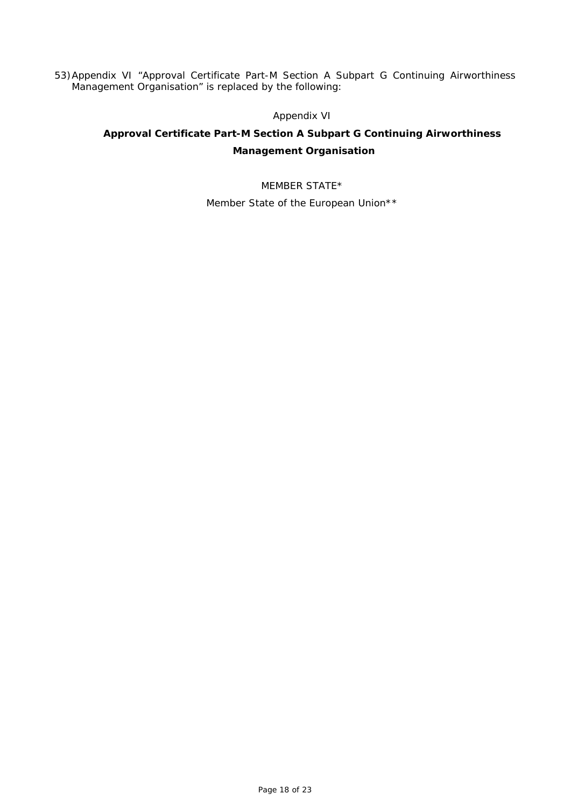53) Appendix VI "Approval Certificate Part-M Section A Subpart G Continuing Airworthiness Management Organisation" is replaced by the following:

## *Appendix VI*

# **Approval Certificate Part-M Section A Subpart G Continuing Airworthiness Management Organisation**

MEMBER STATE\* Member State of the European Union\*\*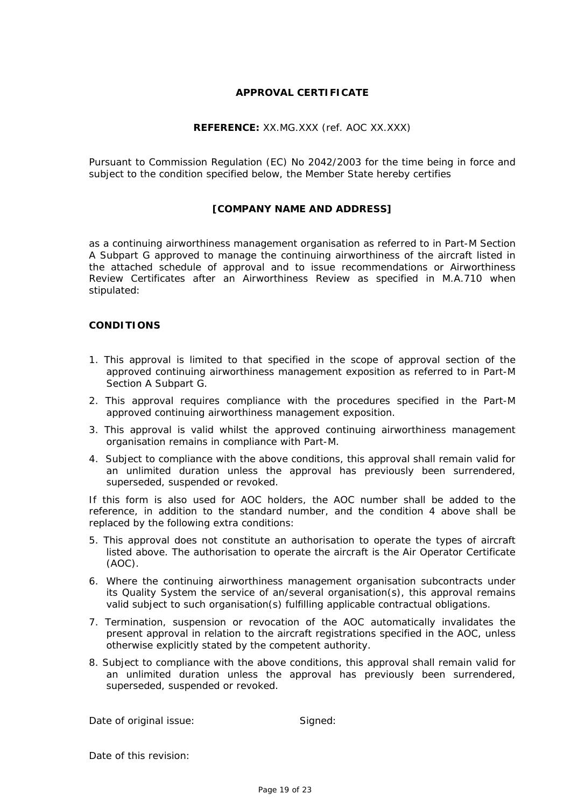## **APPROVAL CERTIFICATE**

## **REFERENCE:** *XX.MG.XXX (ref. AOC XX.XXX)*

Pursuant to Commission Regulation (EC) No 2042/2003 for the time being in force and subject to the condition specified below, the Member State hereby certifies

## **[COMPANY NAME AND ADDRESS]**

as a continuing airworthiness management organisation as referred to in Part-M Section A Subpart G approved to manage the continuing airworthiness of the aircraft listed in the attached schedule of approval and to issue recommendations or Airworthiness Review Certificates after an Airworthiness Review as specified in M.A.710 when stipulated:

## **CONDITIONS**

- 1. This approval is limited to that specified in the scope of approval section of the approved continuing airworthiness management exposition as referred to in Part-M Section A Subpart G.
- 2. This approval requires compliance with the procedures specified in the Part-M approved continuing airworthiness management exposition.
- 3. This approval is valid whilst the approved continuing airworthiness management organisation remains in compliance with Part-M.
- 4. Subject to compliance with the above conditions, this approval shall remain valid for an unlimited duration unless the approval has previously been surrendered, superseded, suspended or revoked.

If this form is also used for AOC holders, the AOC number shall be added to the reference, in addition to the standard number, and the condition 4 above shall be replaced by the following extra conditions:

- 5. This approval does not constitute an authorisation to operate the types of aircraft listed above. The authorisation to operate the aircraft is the Air Operator Certificate (AOC).
- 6. Where the continuing airworthiness management organisation subcontracts under its Quality System the service of an/several organisation(s), this approval remains valid subject to such organisation(s) fulfilling applicable contractual obligations.
- 7. Termination, suspension or revocation of the AOC automatically invalidates the present approval in relation to the aircraft registrations specified in the AOC, unless otherwise explicitly stated by the competent authority.
- 8. Subject to compliance with the above conditions, this approval shall remain valid for an unlimited duration unless the approval has previously been surrendered, superseded, suspended or revoked.

Date of original issue: Signed:

Date of this revision: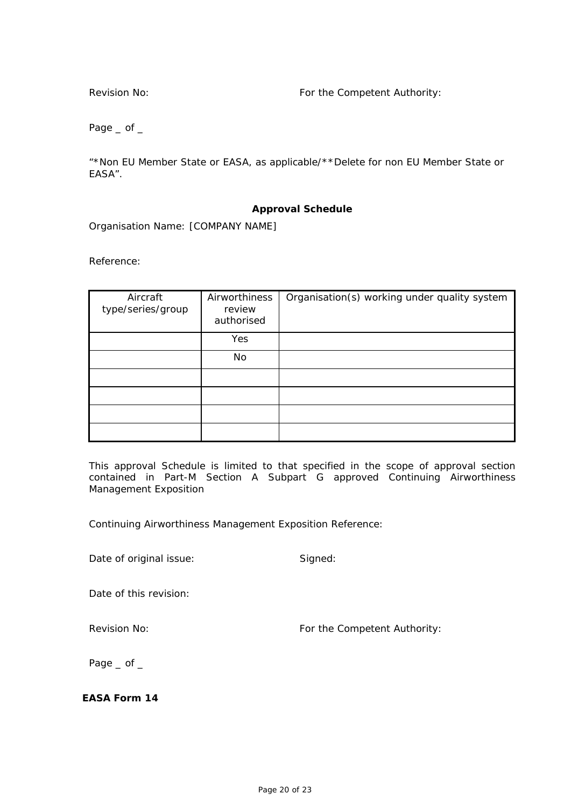Revision No: The Competent Authority:

Page  $\_$  of  $\_$ 

"\*Non EU Member State or EASA, as applicable/\*\*Delete for non EU Member State or EASA".

## **Approval Schedule**

Organisation Name: [COMPANY NAME]

Reference:

| Aircraft<br>type/series/group | Airworthiness<br>review<br>authorised | Organisation(s) working under quality system |
|-------------------------------|---------------------------------------|----------------------------------------------|
|                               | Yes                                   |                                              |
|                               | No                                    |                                              |
|                               |                                       |                                              |
|                               |                                       |                                              |
|                               |                                       |                                              |
|                               |                                       |                                              |

This approval Schedule is limited to that specified in the scope of approval section contained in Part-M Section A Subpart G approved Continuing Airworthiness Management Exposition

Continuing Airworthiness Management Exposition Reference:

Date of original issue: Signed:

Date of this revision:

Revision No: The Competent Authority:

Page  $\_$  of  $\_$ 

**EASA Form 14**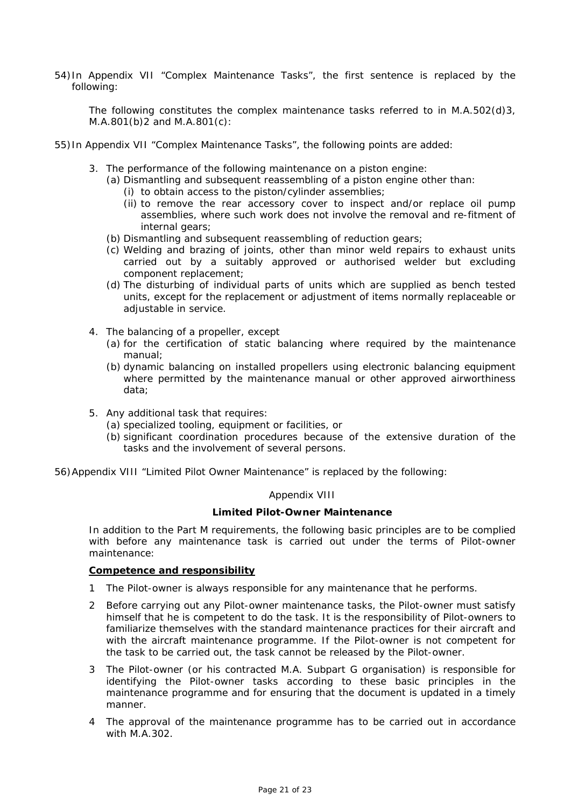54) In Appendix VII "Complex Maintenance Tasks", the first sentence is replaced by the following:

The following constitutes the complex maintenance tasks referred to in M.A.502(d)3, M.A.801(b)2 and M.A.801(c):

- 55) In Appendix VII "Complex Maintenance Tasks", the following points are added:
	- 3. The performance of the following maintenance on a piston engine:
		- (a) Dismantling and subsequent reassembling of a piston engine other than:
			- (i) to obtain access to the piston/cylinder assemblies;
			- (ii) to remove the rear accessory cover to inspect and/or replace oil pump assemblies, where such work does not involve the removal and re-fitment of internal gears;
		- (b) Dismantling and subsequent reassembling of reduction gears;
		- (c) Welding and brazing of joints, other than minor weld repairs to exhaust units carried out by a suitably approved or authorised welder but excluding component replacement;
		- (d) The disturbing of individual parts of units which are supplied as bench tested units, except for the replacement or adjustment of items normally replaceable or adjustable in service.
	- 4. The balancing of a propeller, except
		- (a) for the certification of static balancing where required by the maintenance manual;
		- (b) dynamic balancing on installed propellers using electronic balancing equipment where permitted by the maintenance manual or other approved airworthiness data;
	- 5. Any additional task that requires:
		- (a) specialized tooling, equipment or facilities, or
		- (b) significant coordination procedures because of the extensive duration of the tasks and the involvement of several persons.
- 56) Appendix VIII "Limited Pilot Owner Maintenance" is replaced by the following:

## *Appendix VIII*

#### **Limited Pilot-Owner Maintenance**

In addition to the Part M requirements, the following basic principles are to be complied with before any maintenance task is carried out under the terms of Pilot-owner maintenance:

#### **Competence and responsibility**

- 1 The Pilot-owner is always responsible for any maintenance that he performs.
- 2 Before carrying out any Pilot-owner maintenance tasks, the Pilot-owner must satisfy himself that he is competent to do the task. It is the responsibility of Pilot-owners to familiarize themselves with the standard maintenance practices for their aircraft and with the aircraft maintenance programme. If the Pilot-owner is not competent for the task to be carried out, the task cannot be released by the Pilot-owner.
- 3 The Pilot-owner (or his contracted M.A. Subpart G organisation) is responsible for identifying the Pilot-owner tasks according to these basic principles in the maintenance programme and for ensuring that the document is updated in a timely manner.
- 4 The approval of the maintenance programme has to be carried out in accordance with M A 302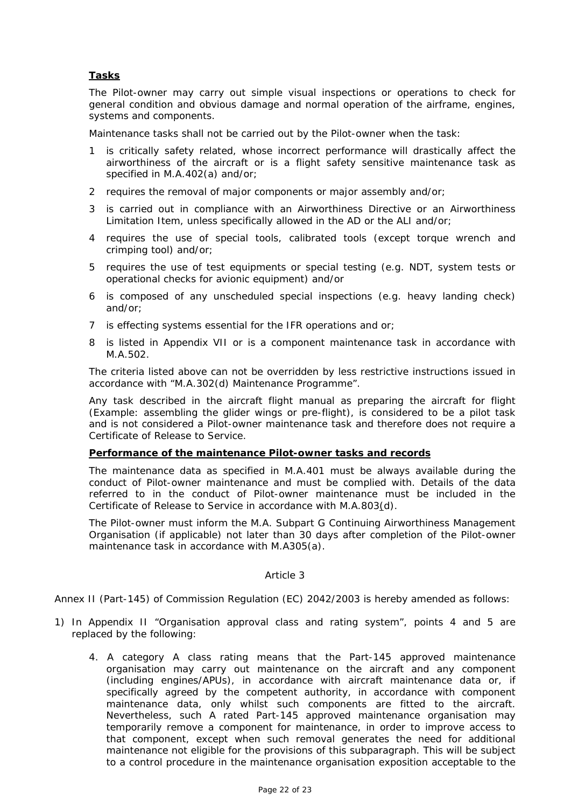## **Tasks**

The Pilot-owner may carry out simple visual inspections or operations to check for general condition and obvious damage and normal operation of the airframe, engines, systems and components.

Maintenance tasks shall not be carried out by the Pilot-owner when the task:

- 1 is critically safety related, whose incorrect performance will drastically affect the airworthiness of the aircraft or is a flight safety sensitive maintenance task as specified in M.A.402(a) and/or;
- 2 requires the removal of major components or major assembly and/or;
- 3 is carried out in compliance with an Airworthiness Directive or an Airworthiness Limitation Item, unless specifically allowed in the AD or the ALI and/or;
- 4 requires the use of special tools, calibrated tools (except torque wrench and crimping tool) and/or;
- 5 requires the use of test equipments or special testing (e.g. NDT, system tests or operational checks for avionic equipment) and/or
- 6 is composed of any unscheduled special inspections (e.g. heavy landing check) and/or;
- 7 is effecting systems essential for the IFR operations and or;
- 8 is listed in Appendix VII or is a component maintenance task in accordance with M.A.502.

The criteria listed above can not be overridden by less restrictive instructions issued in accordance with "M.A.302(d) Maintenance Programme".

Any task described in the aircraft flight manual as preparing the aircraft for flight (Example: assembling the glider wings or pre-flight), is considered to be a pilot task and is not considered a Pilot-owner maintenance task and therefore does not require a Certificate of Release to Service.

## **Performance of the maintenance Pilot-owner tasks and records**

The maintenance data as specified in M.A.401 must be always available during the conduct of Pilot-owner maintenance and must be complied with. Details of the data referred to in the conduct of Pilot-owner maintenance must be included in the Certificate of Release to Service in accordance with M.A.803(d).

The Pilot-owner must inform the M.A. Subpart G Continuing Airworthiness Management Organisation (if applicable) not later than 30 days after completion of the Pilot-owner maintenance task in accordance with M.A305(a).

## *Article 3*

Annex II (Part-145) of Commission Regulation (EC) 2042/2003 is hereby amended as follows:

- 1) In Appendix II "Organisation approval class and rating system", points 4 and 5 are replaced by the following:
	- 4. A category A class rating means that the Part-145 approved maintenance organisation may carry out maintenance on the aircraft and any component (including engines/APUs), in accordance with aircraft maintenance data or, if specifically agreed by the competent authority, in accordance with component maintenance data, only whilst such components are fitted to the aircraft. Nevertheless, such A rated Part-145 approved maintenance organisation may temporarily remove a component for maintenance, in order to improve access to that component, except when such removal generates the need for additional maintenance not eligible for the provisions of this subparagraph. This will be subject to a control procedure in the maintenance organisation exposition acceptable to the